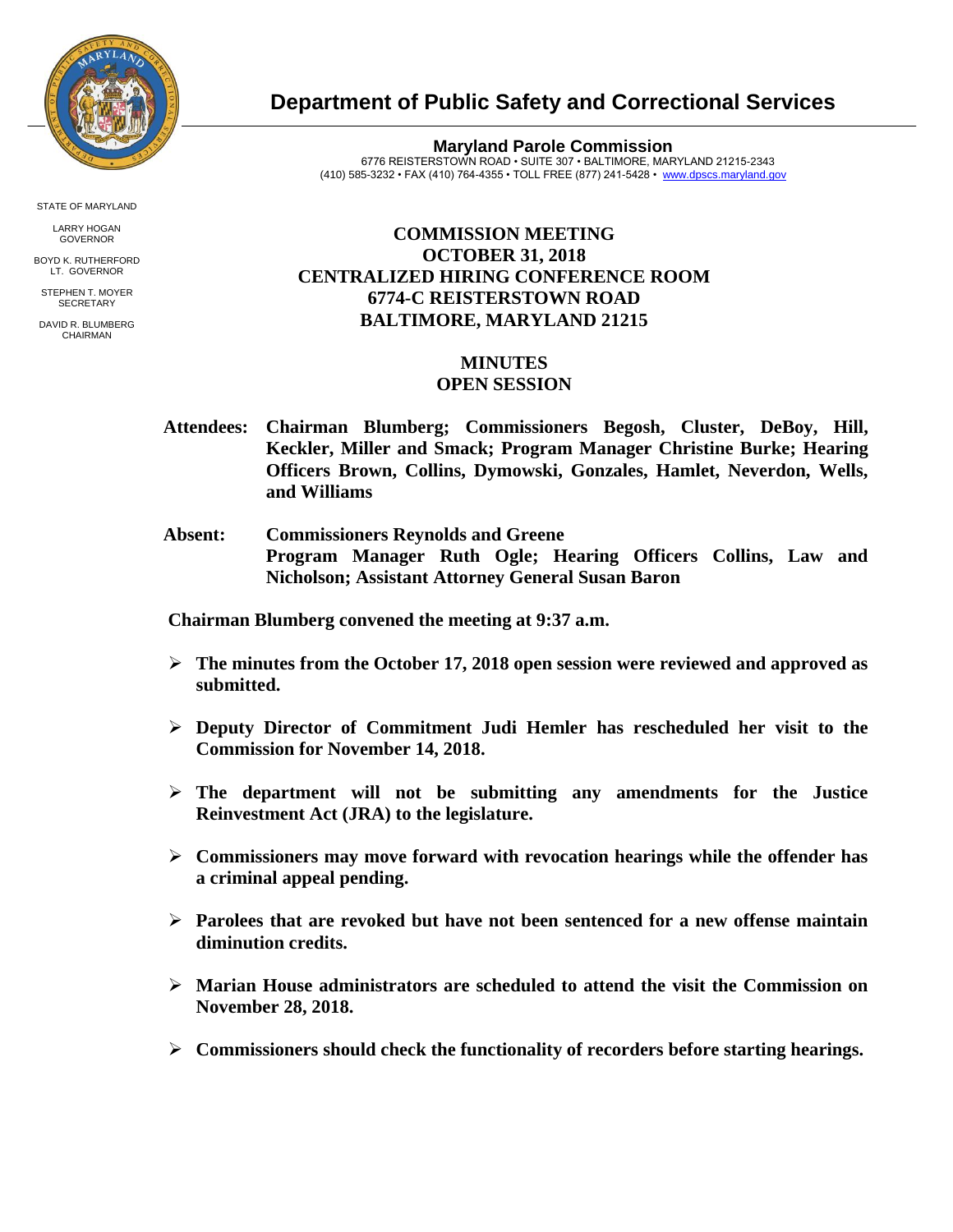

STATE OF MARYLAND

LARRY HOGAN GOVERNOR

BOYD K. RUTHERFORD LT. GOVERNOR STEPHEN T. MOYER

**SECRETARY** 

DAVID R. BLUMBERG CHAIRMAN

**Department of Public Safety and Correctional Services**

**Maryland Parole Commission** 6776 REISTERSTOWN ROAD • SUITE 307 • BALTIMORE, MARYLAND 21215-2343 (410) 585-3232 • FAX (410) 764-4355 • TOLL FREE (877) 241-5428 • [www.dpscs.maryland.gov](http://www.dpscs.maryland.gov/) 

## **COMMISSION MEETING OCTOBER 31, 2018 CENTRALIZED HIRING CONFERENCE ROOM 6774-C REISTERSTOWN ROAD BALTIMORE, MARYLAND 21215**

## **MINUTES**

## **OPEN SESSION**

- **Attendees: Chairman Blumberg; Commissioners Begosh, Cluster, DeBoy, Hill, Keckler, Miller and Smack; Program Manager Christine Burke; Hearing Officers Brown, Collins, Dymowski, Gonzales, Hamlet, Neverdon, Wells, and Williams**
- **Absent: Commissioners Reynolds and Greene Program Manager Ruth Ogle; Hearing Officers Collins, Law and Nicholson; Assistant Attorney General Susan Baron**

 **Chairman Blumberg convened the meeting at 9:37 a.m.**

- **The minutes from the October 17, 2018 open session were reviewed and approved as submitted.**
- **Deputy Director of Commitment Judi Hemler has rescheduled her visit to the Commission for November 14, 2018.**
- **The department will not be submitting any amendments for the Justice Reinvestment Act (JRA) to the legislature.**
- **Commissioners may move forward with revocation hearings while the offender has a criminal appeal pending.**
- **Parolees that are revoked but have not been sentenced for a new offense maintain diminution credits.**
- **Marian House administrators are scheduled to attend the visit the Commission on November 28, 2018.**
- **Commissioners should check the functionality of recorders before starting hearings.**